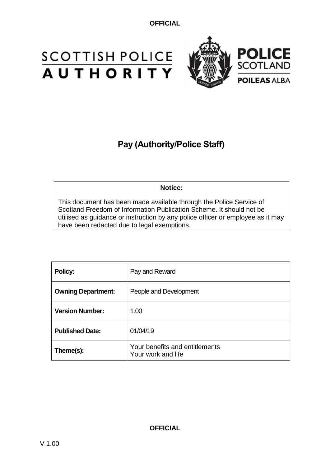# **SCOTTISH POLICE**<br>**AUTHORITY**



# **Pay (Authority/Police Staff)**

# **Notice:**

This document has been made available through the Police Service of Scotland Freedom of Information Publication Scheme. It should not be utilised as guidance or instruction by any police officer or employee as it may have been redacted due to legal exemptions.

| Policy:                   | Pay and Reward                                       |
|---------------------------|------------------------------------------------------|
| <b>Owning Department:</b> | People and Development                               |
| <b>Version Number:</b>    | 1.00                                                 |
| <b>Published Date:</b>    | 01/04/19                                             |
| Theme(s):                 | Your benefits and entitlements<br>Your work and life |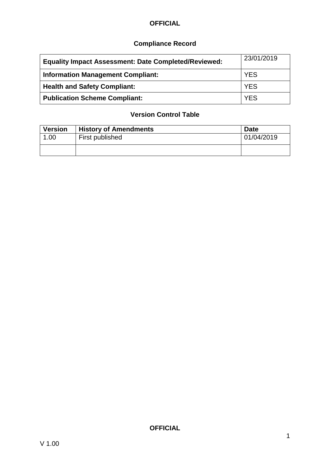# **Compliance Record**

| <b>Equality Impact Assessment: Date Completed/Reviewed:</b> | 23/01/2019 |
|-------------------------------------------------------------|------------|
| <b>Information Management Compliant:</b>                    | <b>YES</b> |
| <b>Health and Safety Compliant:</b>                         | <b>YES</b> |
| <b>Publication Scheme Compliant:</b>                        | <b>YES</b> |

# **Version Control Table**

| <b>Version</b> | <b>History of Amendments</b> | <b>Date</b> |
|----------------|------------------------------|-------------|
| 1.00           | First published              | 01/04/2019  |
|                |                              |             |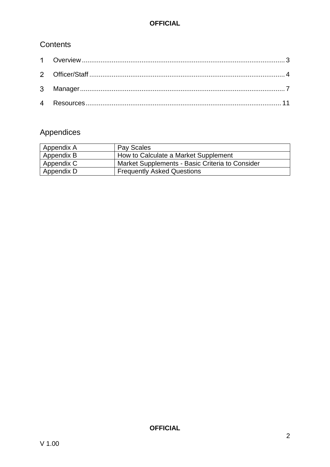# **Contents**

# Appendices

| Appendix A | Pay Scales                                      |
|------------|-------------------------------------------------|
| Appendix B | How to Calculate a Market Supplement            |
| Appendix C | Market Supplements - Basic Criteria to Consider |
| Appendix D | <b>Frequently Asked Questions</b>               |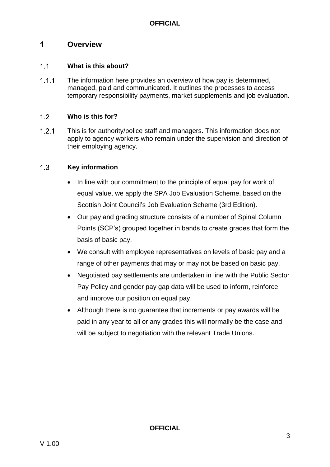## <span id="page-3-0"></span> $\mathbf 1$ **Overview**

## $1.1$ **What is this about?**

 $1.1.1$ The information here provides an overview of how pay is determined, managed, paid and communicated. It outlines the processes to access temporary responsibility payments, market supplements and job evaluation.

## $1.2$ **Who is this for?**

 $1.2.1$ This is for authority/police staff and managers. This information does not apply to agency workers who remain under the supervision and direction of their employing agency.

## $1.3$ **Key information**

- In line with our commitment to the principle of equal pay for work of equal value, we apply the SPA Job Evaluation Scheme, based on the Scottish Joint Council's Job Evaluation Scheme (3rd Edition).
- Our pay and grading structure consists of a number of Spinal Column Points (SCP's) grouped together in bands to create grades that form the basis of basic pay.
- We consult with employee representatives on levels of basic pay and a range of other payments that may or may not be based on basic pay.
- Negotiated pay settlements are undertaken in line with the Public Sector Pay Policy and gender pay gap data will be used to inform, reinforce and improve our position on equal pay.
- Although there is no guarantee that increments or pay awards will be paid in any year to all or any grades this will normally be the case and will be subject to negotiation with the relevant Trade Unions.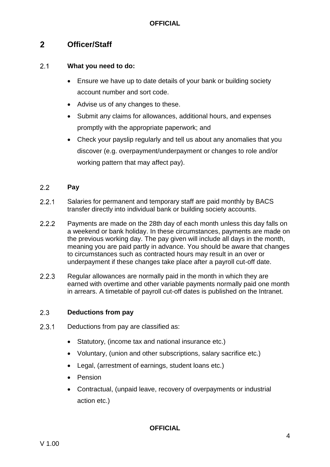## <span id="page-4-0"></span> $2<sup>1</sup>$ **Officer/Staff**

#### $2.1$ **What you need to do:**

- Ensure we have up to date details of your bank or building society account number and sort code.
- Advise us of any changes to these.
- Submit any claims for allowances, additional hours, and expenses promptly with the appropriate paperwork; and
- Check your payslip regularly and tell us about any anomalies that you discover (e.g. overpayment/underpayment or changes to role and/or working pattern that may affect pay).

## $2.2$ **Pay**

- $2.2.1$ Salaries for permanent and temporary staff are paid monthly by BACS transfer directly into individual bank or building society accounts.
- $2.2.2$ Payments are made on the 28th day of each month unless this day falls on a weekend or bank holiday. In these circumstances, payments are made on the previous working day. The pay given will include all days in the month, meaning you are paid partly in advance. You should be aware that changes to circumstances such as contracted hours may result in an over or underpayment if these changes take place after a payroll cut-off date.
- $2.2.3$ Regular allowances are normally paid in the month in which they are earned with overtime and other variable payments normally paid one month in arrears. A timetable of payroll cut-off dates is published on the Intranet.

## $2.3$ **Deductions from pay**

- $2.3.1$ Deductions from pay are classified as:
	- Statutory, (income tax and national insurance etc.)
	- Voluntary, (union and other subscriptions, salary sacrifice etc.)
	- Legal, (arrestment of earnings, student loans etc.)
	- Pension
	- Contractual, (unpaid leave, recovery of overpayments or industrial action etc.)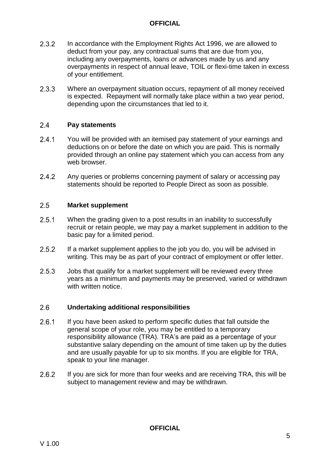- $2.3.2$ In accordance with the Employment Rights Act 1996, we are allowed to deduct from your pay, any contractual sums that are due from you, including any overpayments, loans or advances made by us and any overpayments in respect of annual leave, TOIL or flexi-time taken in excess of your entitlement.
- $2.3.3$ Where an overpayment situation occurs, repayment of all money received is expected. Repayment will normally take place within a two year period, depending upon the circumstances that led to it.

#### $2.4$ **Pay statements**

- $2.4.1$ You will be provided with an itemised pay statement of your earnings and deductions on or before the date on which you are paid. This is normally provided through an online pay statement which you can access from any web browser.
- $2.4.2$ Any queries or problems concerning payment of salary or accessing pay statements should be reported to People Direct as soon as possible.

#### $2.5$ **Market supplement**

- $2.5.1$ When the grading given to a post results in an inability to successfully recruit or retain people, we may pay a market supplement in addition to the basic pay for a limited period.
- $2.5.2$ If a market supplement applies to the job you do, you will be advised in writing. This may be as part of your contract of employment or offer letter.
- $2.5.3$ Jobs that qualify for a market supplement will be reviewed every three years as a minimum and payments may be preserved, varied or withdrawn with written notice.

#### $2.6$ **Undertaking additional responsibilities**

- $2.6.1$ If you have been asked to perform specific duties that fall outside the general scope of your role, you may be entitled to a temporary responsibility allowance (TRA). TRA's are paid as a percentage of your substantive salary depending on the amount of time taken up by the duties and are usually payable for up to six months. If you are eligible for TRA, speak to your line manager.
- $2.6.2$ If you are sick for more than four weeks and are receiving TRA, this will be subject to management review and may be withdrawn.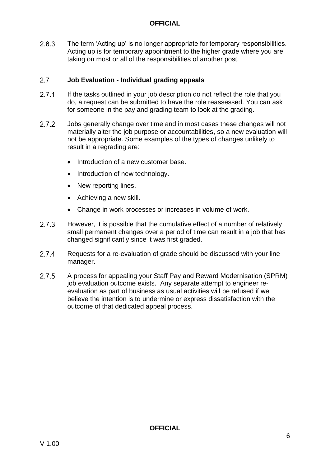$2.6.3$ The term 'Acting up' is no longer appropriate for temporary responsibilities. Acting up is for temporary appointment to the higher grade where you are taking on most or all of the responsibilities of another post.

## $2.7$ **Job Evaluation - Individual grading appeals**

- $2.7.1$ If the tasks outlined in your job description do not reflect the role that you do, a request can be submitted to have the role reassessed. You can ask for someone in the pay and grading team to look at the grading.
- $2.7.2$ Jobs generally change over time and in most cases these changes will not materially alter the job purpose or accountabilities, so a new evaluation will not be appropriate. Some examples of the types of changes unlikely to result in a regrading are:
	- Introduction of a new customer base.
	- Introduction of new technology.
	- New reporting lines.
	- Achieving a new skill.
	- Change in work processes or increases in volume of work.
- $2.7.3$ However, it is possible that the cumulative effect of a number of relatively small permanent changes over a period of time can result in a job that has changed significantly since it was first graded.
- $2.7.4$ Requests for a re-evaluation of grade should be discussed with your line manager.
- $2.7.5$ A process for appealing your Staff Pay and Reward Modernisation (SPRM) job evaluation outcome exists. Any separate attempt to engineer reevaluation as part of business as usual activities will be refused if we believe the intention is to undermine or express dissatisfaction with the outcome of that dedicated appeal process.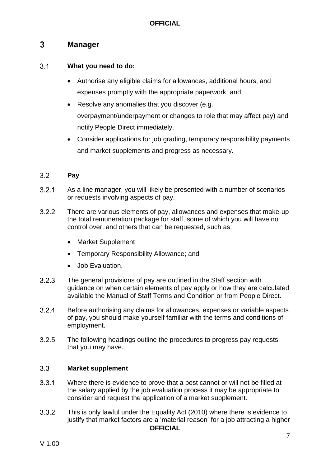## <span id="page-7-0"></span> $3<sup>1</sup>$ **Manager**

## $3.1$ **What you need to do:**

- Authorise any eligible claims for allowances, additional hours, and expenses promptly with the appropriate paperwork; and
- Resolve any anomalies that you discover (e.g. overpayment/underpayment or changes to role that may affect pay) and notify People Direct immediately.
- Consider applications for job grading, temporary responsibility payments and market supplements and progress as necessary.

## $3.2$ **Pay**

- $3.2.1$ As a line manager, you will likely be presented with a number of scenarios or requests involving aspects of pay.
- $3.2.2$ There are various elements of pay, allowances and expenses that make-up the total remuneration package for staff, some of which you will have no control over, and others that can be requested, such as:
	- Market Supplement
	- Temporary Responsibility Allowance; and
	- Job Evaluation.
- $3.2.3$ The general provisions of pay are outlined in the Staff section with guidance on when certain elements of pay apply or how they are calculated available the Manual of Staff Terms and Condition or from People Direct.
- $3.2.4$ Before authorising any claims for allowances, expenses or variable aspects of pay, you should make yourself familiar with the terms and conditions of employment.
- $3.2.5$ The following headings outline the procedures to progress pay requests that you may have.

## $3.3$ **Market supplement**

- $3.3.1$ Where there is evidence to prove that a post cannot or will not be filled at the salary applied by the job evaluation process it may be appropriate to consider and request the application of a market supplement.
- $3.3.2$ This is only lawful under the Equality Act (2010) where there is evidence to justify that market factors are a 'material reason' for a job attracting a higher **OFFICIAL**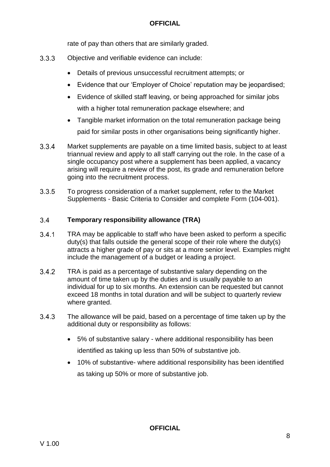rate of pay than others that are similarly graded.

- $3.3.3$ Objective and verifiable evidence can include:
	- Details of previous unsuccessful recruitment attempts; or
	- Evidence that our 'Employer of Choice' reputation may be jeopardised;
	- Evidence of skilled staff leaving, or being approached for similar jobs with a higher total remuneration package elsewhere; and
	- Tangible market information on the total remuneration package being paid for similar posts in other organisations being significantly higher.
- $3.3.4$ Market supplements are payable on a time limited basis, subject to at least triannual review and apply to all staff carrying out the role. In the case of a single occupancy post where a supplement has been applied, a vacancy arising will require a review of the post, its grade and remuneration before going into the recruitment process.
- $3.3.5$ To progress consideration of a market supplement, refer to the Market Supplements - Basic Criteria to Consider and complete Form (104-001).

#### $3.4$ **Temporary responsibility allowance (TRA)**

- $3.4.1$ TRA may be applicable to staff who have been asked to perform a specific duty(s) that falls outside the general scope of their role where the duty(s) attracts a higher grade of pay or sits at a more senior level. Examples might include the management of a budget or leading a project.
- $3.4.2$ TRA is paid as a percentage of substantive salary depending on the amount of time taken up by the duties and is usually payable to an individual for up to six months. An extension can be requested but cannot exceed 18 months in total duration and will be subject to quarterly review where granted.
- $3.4.3$ The allowance will be paid, based on a percentage of time taken up by the additional duty or responsibility as follows:
	- 5% of substantive salary where additional responsibility has been identified as taking up less than 50% of substantive job.
	- 10% of substantive- where additional responsibility has been identified as taking up 50% or more of substantive job.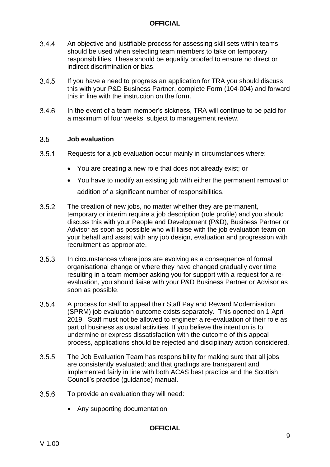- $3.4.4$ An objective and justifiable process for assessing skill sets within teams should be used when selecting team members to take on temporary responsibilities. These should be equality proofed to ensure no direct or indirect discrimination or bias.
- $3.4.5$ If you have a need to progress an application for TRA you should discuss this with your P&D Business Partner, complete Form (104-004) and forward this in line with the instruction on the form.
- $3.4.6$ In the event of a team member's sickness, TRA will continue to be paid for a maximum of four weeks, subject to management review.

#### $3.5$ **Job evaluation**

- $3.5.1$ Requests for a job evaluation occur mainly in circumstances where:
	- You are creating a new role that does not already exist; or
	- You have to modify an existing job with either the permanent removal or addition of a significant number of responsibilities.
- $3.5.2$ The creation of new jobs, no matter whether they are permanent, temporary or interim require a job description (role profile) and you should discuss this with your People and Development (P&D), Business Partner or Advisor as soon as possible who will liaise with the job evaluation team on your behalf and assist with any job design, evaluation and progression with recruitment as appropriate.
- $3.5.3$ In circumstances where jobs are evolving as a consequence of formal organisational change or where they have changed gradually over time resulting in a team member asking you for support with a request for a reevaluation, you should liaise with your P&D Business Partner or Advisor as soon as possible.
- $3.5.4$ A process for staff to appeal their Staff Pay and Reward Modernisation (SPRM) job evaluation outcome exists separately. This opened on 1 April 2019. Staff must not be allowed to engineer a re-evaluation of their role as part of business as usual activities. If you believe the intention is to undermine or express dissatisfaction with the outcome of this appeal process, applications should be rejected and disciplinary action considered.
- $3.5.5$ The Job Evaluation Team has responsibility for making sure that all jobs are consistently evaluated; and that gradings are transparent and implemented fairly in line with both ACAS best practice and the Scottish Council's practice (guidance) manual.
- $3.5.6$ To provide an evaluation they will need:
	- Any supporting documentation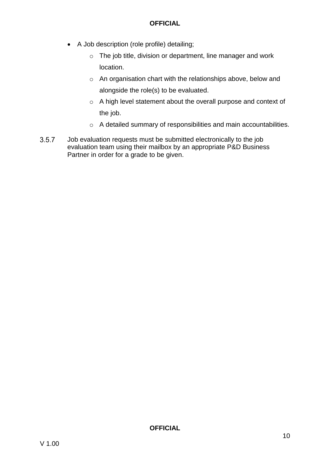- A Job description (role profile) detailing;
	- o The job title, division or department, line manager and work location.
	- o An organisation chart with the relationships above, below and alongside the role(s) to be evaluated.
	- o A high level statement about the overall purpose and context of the job.
	- o A detailed summary of responsibilities and main accountabilities.
- $3.5.7$ Job evaluation requests must be submitted electronically to the job evaluation team using their mailbox by an appropriate P&D Business Partner in order for a grade to be given.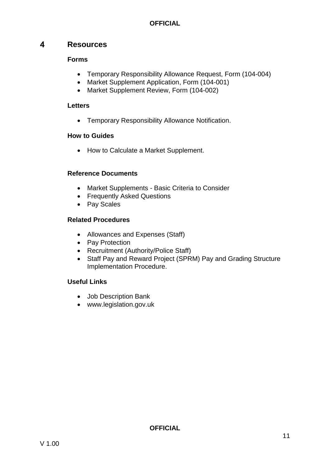## <span id="page-11-0"></span> $\overline{\mathbf{A}}$ **Resources**

# **Forms**

- Temporary Responsibility Allowance Request, Form (104-004)
- Market Supplement Application, Form (104-001)
- Market Supplement Review, Form (104-002)

# **Letters**

Temporary Responsibility Allowance Notification.

# **How to Guides**

• How to Calculate a Market Supplement.

# **Reference Documents**

- Market Supplements Basic Criteria to Consider
- Frequently Asked Questions
- Pay Scales

# **Related Procedures**

- Allowances and Expenses (Staff)
- Pay Protection
- Recruitment (Authority/Police Staff)
- Staff Pay and Reward Project (SPRM) Pay and Grading Structure Implementation Procedure.

# **Useful Links**

- Job Description Bank
- www.legislation.gov.uk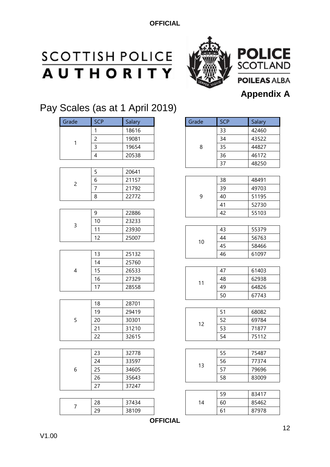# **SCOTTISH POLICE**<br>**AUTHORITY**



# P F SC **POILEAS ALBA Appendix A**

# Pay Scales (as at 1 April 2019)

| Grade                    | <b>SCP</b>     | Salary | Grade | <b>SCP</b> | Salary |
|--------------------------|----------------|--------|-------|------------|--------|
|                          | $\mathbf{1}$   | 18616  |       | 33         | 42460  |
|                          | $\overline{c}$ | 19081  |       | 34         | 43522  |
| $\mathbf{1}$             | $\mathsf{3}$   | 19654  | 8     | 35         | 44827  |
|                          | $\overline{4}$ | 20538  |       | 36         | 46172  |
|                          |                |        |       | 37         | 48250  |
|                          | 5              | 20641  |       |            |        |
| $\sqrt{2}$               | 6              | 21157  |       | 38         | 48491  |
|                          | $\overline{7}$ | 21792  |       | 39         | 49703  |
|                          | 8              | 22772  | 9     | 40         | 51195  |
|                          |                |        |       | 41         | 52730  |
|                          | 9              | 22886  |       | 42         | 55103  |
| $\mathsf{3}$             | 10             | 23233  |       |            |        |
|                          | 11             | 23930  |       | 43         | 55379  |
|                          | 12             | 25007  | $10$  | 44         | 56763  |
|                          |                |        |       | 45         | 58466  |
|                          | 13             | 25132  |       | 46         | 61097  |
|                          | 14             | 25760  |       |            |        |
| $\overline{\mathcal{A}}$ | 15             | 26533  |       | 47         | 61403  |
|                          | 16             | 27329  | 11    | 48         | 62938  |
|                          | 17             | 28558  |       | 49         | 64826  |
|                          |                |        |       | 50         | 67743  |
|                          | 18             | 28701  |       |            |        |
|                          | 19             | 29419  |       | 51         | 68082  |
| 5                        | 20             | 30301  | 12    | 52         | 69784  |
|                          | 21             | 31210  |       | 53         | 71877  |
|                          | 22             | 32615  |       | 54         | 75112  |
|                          |                |        |       |            |        |
|                          | 23             | 32778  |       | 55         | 75487  |
|                          | 24             | 33597  | 13    | 56         | 77374  |
| $\,$ 6 $\,$              | 25             | 34605  |       | 57         | 79696  |
|                          | 26             | 35643  |       | 58         | 83009  |
|                          | 27             | 37247  |       |            |        |
|                          |                |        |       |            |        |

|  |              |                    |     | --  | .               |
|--|--------------|--------------------|-----|-----|-----------------|
|  | ിറ<br>∠ບ     | $7121$<br>434<br>ٮ | ، ۲ | 60  | 462<br>oг<br>כס |
|  | $\cap$<br>رے | 38109              |     | - - | 78<br>87<br>'u  |
|  |              |                    |     |     |                 |

| <b>SCP</b> | Salary | Grade | <b>SCP</b> | Salary |
|------------|--------|-------|------------|--------|
|            | 18616  |       | 33         | 42460  |
|            | 19081  |       | 34         | 43522  |
|            | 19654  | 8     | 35         | 44827  |
|            | 20538  |       | 36         | 46172  |
|            |        |       | 37         | 48250  |
|            | 20641  |       |            |        |
|            | 21157  |       | 38         | 48491  |
|            | 21792  |       | 39         | 49703  |
|            | 22772  | 9     | 40         | 51195  |
|            |        |       | 41         | 52730  |
|            | 22886  |       | 42         | 55103  |
|            | 23233  |       |            |        |
|            | 23930  |       | 43         | 55379  |
|            | 25007  |       | 44         | 56763  |
|            |        | 10    | 45         | 58466  |
|            | 25132  |       | 46         | 61097  |
|            | 25760  |       |            |        |
|            | 26533  |       | 47         | 61403  |
|            | 27329  |       | 48         | 62938  |
|            | 28558  | 11    | 49         | 64826  |
|            |        |       | 50         | 67743  |
|            | 28701  |       |            |        |
|            | 29419  |       | 51         | 68082  |
|            | 30301  |       | 52         | 69784  |
|            | 31210  | 12    | 53         | 71877  |
|            | 32615  |       | 54         | 75112  |
|            |        |       |            |        |
|            | 32778  |       | 55         | 75487  |
|            | 33597  |       | 56         | 77374  |
|            | 34605  | 13    | 57         | 79696  |
|            | 35643  |       | 58         | 83009  |
|            | 37247  |       |            |        |
|            |        |       | 59         | 83417  |

**OFFICIAL**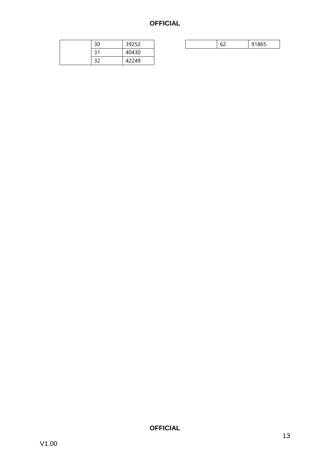| 30 | 39252 |
|----|-------|
| 31 | 40430 |
|    | 42249 |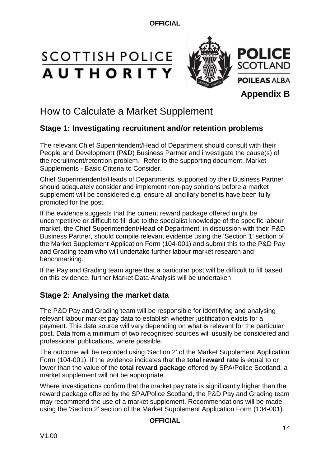# **SCOTTISH POLICE AUTHORITY**



# How to Calculate a Market Supplement

# **Stage 1: Investigating recruitment and/or retention problems**

The relevant Chief Superintendent/Head of Department should consult with their People and Development (P&D) Business Partner and investigate the cause(s) of the recruitment/retention problem. Refer to the supporting document, Market Supplements - Basic Criteria to Consider.

Chief Superintendents/Heads of Departments, supported by their Business Partner should adequately consider and implement non-pay solutions before a market supplement will be considered e.g. ensure all ancillary benefits have been fully promoted for the post.

If the evidence suggests that the current reward package offered might be uncompetitive or difficult to fill due to the specialist knowledge of the specific labour market, the Chief Superintendent/Head of Department, in discussion with their P&D Business Partner, should compile relevant evidence using the 'Section 1' section of the Market Supplement Application Form (104-001) and submit this to the P&D Pay and Grading team who will undertake further labour market research and benchmarking.

If the Pay and Grading team agree that a particular post will be difficult to fill based on this evidence, further Market Data Analysis will be undertaken.

# **Stage 2: Analysing the market data**

The P&D Pay and Grading team will be responsible for identifying and analysing relevant labour market pay data to establish whether justification exists for a payment. This data source will vary depending on what is relevant for the particular post. Data from a minimum of two recognised sources will usually be considered and professional publications, where possible.

The outcome will be recorded using 'Section 2' of the Market Supplement Application Form (104-001). If the evidence indicates that the **total reward rate** is equal to or lower than the value of the **total reward package** offered by SPA/Police Scotland, a market supplement will not be appropriate.

Where investigations confirm that the market pay rate is significantly higher than the reward package offered by the SPA/Police Scotland, the P&D Pay and Grading team may recommend the use of a market supplement. Recommendations will be made using the 'Section 2' section of the Market Supplement Application Form (104-001).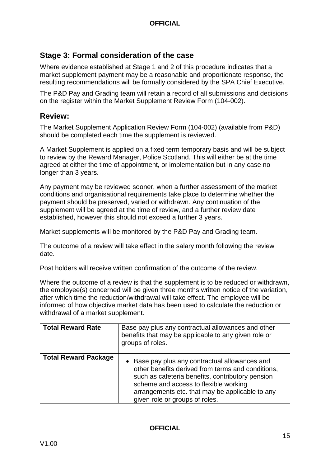# **Stage 3: Formal consideration of the case**

Where evidence established at Stage 1 and 2 of this procedure indicates that a market supplement payment may be a reasonable and proportionate response, the resulting recommendations will be formally considered by the SPA Chief Executive.

The P&D Pay and Grading team will retain a record of all submissions and decisions on the register within the Market Supplement Review Form (104-002).

# **Review:**

The Market Supplement Application Review Form (104-002) (available from P&D) should be completed each time the supplement is reviewed.

A Market Supplement is applied on a fixed term temporary basis and will be subject to review by the Reward Manager, Police Scotland. This will either be at the time agreed at either the time of appointment, or implementation but in any case no longer than 3 years.

Any payment may be reviewed sooner, when a further assessment of the market conditions and organisational requirements take place to determine whether the payment should be preserved, varied or withdrawn. Any continuation of the supplement will be agreed at the time of review, and a further review date established, however this should not exceed a further 3 years.

Market supplements will be monitored by the P&D Pay and Grading team.

The outcome of a review will take effect in the salary month following the review date.

Post holders will receive written confirmation of the outcome of the review.

Where the outcome of a review is that the supplement is to be reduced or withdrawn, the employee(s) concerned will be given three months written notice of the variation, after which time the reduction/withdrawal will take effect. The employee will be informed of how objective market data has been used to calculate the reduction or withdrawal of a market supplement.

| <b>Total Reward Rate</b>    | Base pay plus any contractual allowances and other<br>benefits that may be applicable to any given role or<br>groups of roles.                                                                                                                                                        |
|-----------------------------|---------------------------------------------------------------------------------------------------------------------------------------------------------------------------------------------------------------------------------------------------------------------------------------|
| <b>Total Reward Package</b> | • Base pay plus any contractual allowances and<br>other benefits derived from terms and conditions,<br>such as cafeteria benefits, contributory pension<br>scheme and access to flexible working<br>arrangements etc. that may be applicable to any<br>given role or groups of roles. |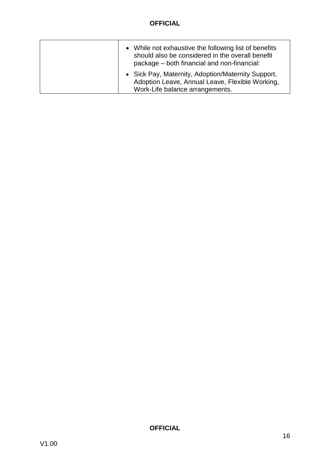| • While not exhaustive the following list of benefits<br>should also be considered in the overall benefit<br>package – both financial and non-financial: |
|----------------------------------------------------------------------------------------------------------------------------------------------------------|
| • Sick Pay, Maternity, Adoption/Maternity Support,<br>Adoption Leave, Annual Leave, Flexible Working,<br>Work-Life balance arrangements.                 |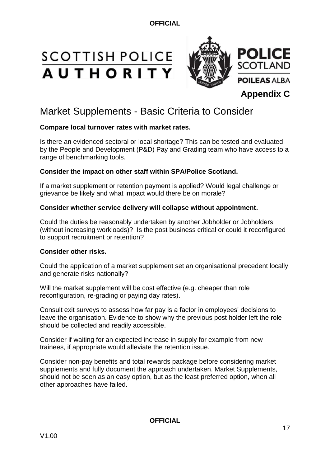# **SCOTTISH POLICE AUTHORITY**



# Market Supplements - Basic Criteria to Consider

# **Compare local turnover rates with market rates.**

Is there an evidenced sectoral or local shortage? This can be tested and evaluated by the People and Development (P&D) Pay and Grading team who have access to a range of benchmarking tools.

# **Consider the impact on other staff within SPA/Police Scotland.**

If a market supplement or retention payment is applied? Would legal challenge or grievance be likely and what impact would there be on morale?

# **Consider whether service delivery will collapse without appointment.**

Could the duties be reasonably undertaken by another Jobholder or Jobholders (without increasing workloads)? Is the post business critical or could it reconfigured to support recruitment or retention?

# **Consider other risks.**

Could the application of a market supplement set an organisational precedent locally and generate risks nationally?

Will the market supplement will be cost effective (e.g. cheaper than role reconfiguration, re-grading or paying day rates).

Consult exit surveys to assess how far pay is a factor in employees' decisions to leave the organisation. Evidence to show why the previous post holder left the role should be collected and readily accessible.

Consider if waiting for an expected increase in supply for example from new trainees, if appropriate would alleviate the retention issue.

Consider non-pay benefits and total rewards package before considering market supplements and fully document the approach undertaken. Market Supplements, should not be seen as an easy option, but as the least preferred option, when all other approaches have failed.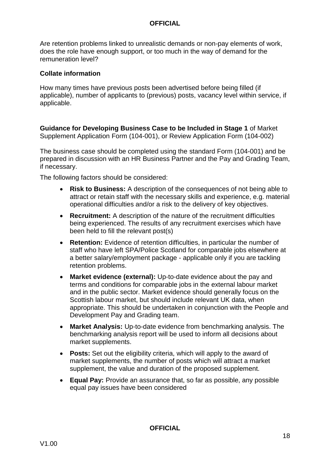Are retention problems linked to unrealistic demands or non-pay elements of work, does the role have enough support, or too much in the way of demand for the remuneration level?

## **Collate information**

How many times have previous posts been advertised before being filled (if applicable), number of applicants to (previous) posts, vacancy level within service, if applicable.

**Guidance for Developing Business Case to be Included in Stage 1** of Market Supplement Application Form (104-001), or Review Application Form (104-002)

The business case should be completed using the standard Form (104-001) and be prepared in discussion with an HR Business Partner and the Pay and Grading Team, if necessary.

The following factors should be considered:

- **Risk to Business:** A description of the consequences of not being able to attract or retain staff with the necessary skills and experience, e.g. material operational difficulties and/or a risk to the delivery of key objectives.
- **Recruitment:** A description of the nature of the recruitment difficulties being experienced. The results of any recruitment exercises which have been held to fill the relevant post(s)
- **Retention:** Evidence of retention difficulties, in particular the number of staff who have left SPA/Police Scotland for comparable jobs elsewhere at a better salary/employment package - applicable only if you are tackling retention problems.
- **Market evidence (external):** Up-to-date evidence about the pay and terms and conditions for comparable jobs in the external labour market and in the public sector. Market evidence should generally focus on the Scottish labour market, but should include relevant UK data, when appropriate. This should be undertaken in conjunction with the People and Development Pay and Grading team.
- **Market Analysis:** Up-to-date evidence from benchmarking analysis. The benchmarking analysis report will be used to inform all decisions about market supplements.
- **Posts:** Set out the eligibility criteria, which will apply to the award of market supplements, the number of posts which will attract a market supplement, the value and duration of the proposed supplement.
- **Equal Pay:** Provide an assurance that, so far as possible, any possible equal pay issues have been considered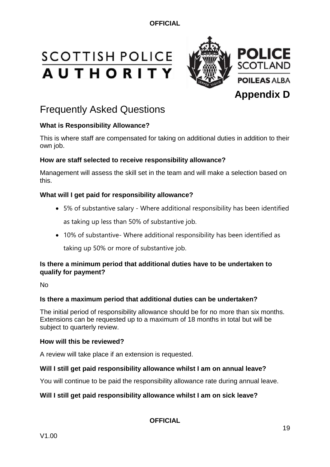# **SCOTTISH POLICE AUTHORITY**



# Frequently Asked Questions

# **What is Responsibility Allowance?**

This is where staff are compensated for taking on additional duties in addition to their own job.

# **How are staff selected to receive responsibility allowance?**

Management will assess the skill set in the team and will make a selection based on this.

# **What will I get paid for responsibility allowance?**

- 5% of substantive salary Where additional responsibility has been identified as taking up less than 50% of substantive job.
- 10% of substantive- Where additional responsibility has been identified as taking up 50% or more of substantive job.

# **Is there a minimum period that additional duties have to be undertaken to qualify for payment?**

No

# **Is there a maximum period that additional duties can be undertaken?**

The initial period of responsibility allowance should be for no more than six months. Extensions can be requested up to a maximum of 18 months in total but will be subject to quarterly review.

## **How will this be reviewed?**

A review will take place if an extension is requested.

## **Will I still get paid responsibility allowance whilst I am on annual leave?**

You will continue to be paid the responsibility allowance rate during annual leave.

# **Will I still get paid responsibility allowance whilst I am on sick leave?**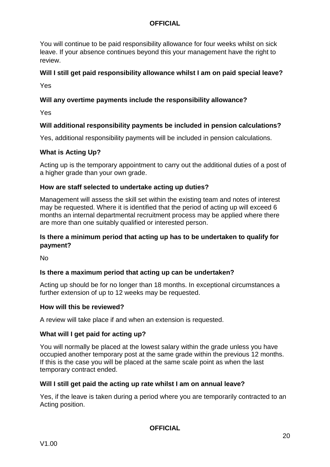You will continue to be paid responsibility allowance for four weeks whilst on sick leave. If your absence continues beyond this your management have the right to review.

# **Will I still get paid responsibility allowance whilst I am on paid special leave?**

Yes

# **Will any overtime payments include the responsibility allowance?**

Yes

# **Will additional responsibility payments be included in pension calculations?**

Yes, additional responsibility payments will be included in pension calculations.

# **What is Acting Up?**

Acting up is the temporary appointment to carry out the additional duties of a post of a higher grade than your own grade.

## **How are staff selected to undertake acting up duties?**

Management will assess the skill set within the existing team and notes of interest may be requested. Where it is identified that the period of acting up will exceed 6 months an internal departmental recruitment process may be applied where there are more than one suitably qualified or interested person.

# **Is there a minimum period that acting up has to be undertaken to qualify for payment?**

No

# **Is there a maximum period that acting up can be undertaken?**

Acting up should be for no longer than 18 months. In exceptional circumstances a further extension of up to 12 weeks may be requested.

## **How will this be reviewed?**

A review will take place if and when an extension is requested.

# **What will I get paid for acting up?**

You will normally be placed at the lowest salary within the grade unless you have occupied another temporary post at the same grade within the previous 12 months. If this is the case you will be placed at the same scale point as when the last temporary contract ended.

## **Will I still get paid the acting up rate whilst I am on annual leave?**

Yes, if the leave is taken during a period where you are temporarily contracted to an Acting position.